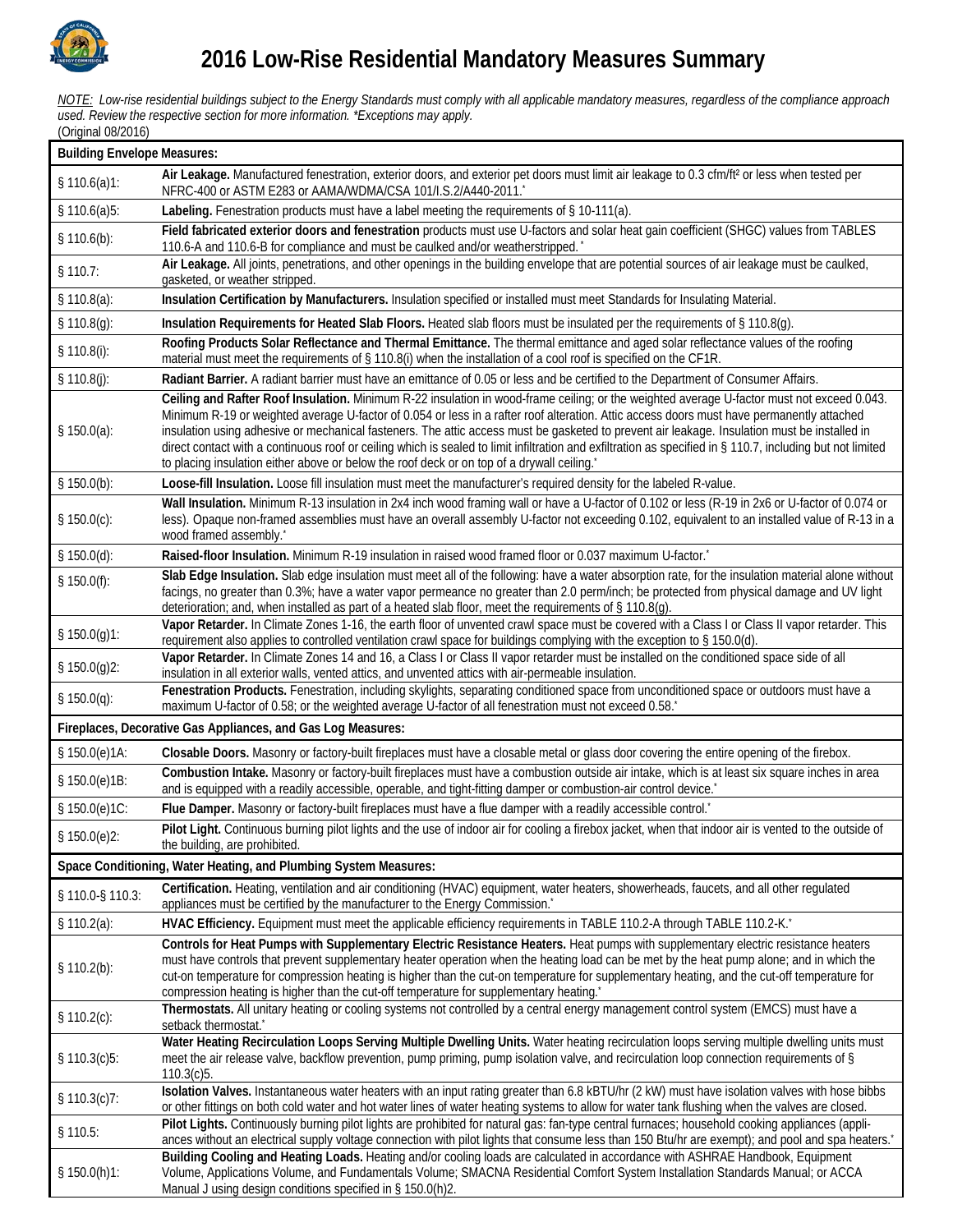

*NOTE: Low-rise residential buildings subject to the Energy Standards must comply with all applicable mandatory measures, regardless of the compliance approach used. Review the respective section for more information. \*Exceptions may apply.* (Original 08/2016)

| <b>Building Envelope Measures:</b>                           |                                                                                                                                                                                                                                                                                                                                                                                                                                                                                                                                                                                                                                                                                                                 |  |  |
|--------------------------------------------------------------|-----------------------------------------------------------------------------------------------------------------------------------------------------------------------------------------------------------------------------------------------------------------------------------------------------------------------------------------------------------------------------------------------------------------------------------------------------------------------------------------------------------------------------------------------------------------------------------------------------------------------------------------------------------------------------------------------------------------|--|--|
| \$110.6(a)1:                                                 | Air Leakage. Manufactured fenestration, exterior doors, and exterior pet doors must limit air leakage to 0.3 cfm/ft <sup>2</sup> or less when tested per<br>NFRC-400 or ASTM E283 or AAMA/WDMA/CSA 101/I.S.2/A440-2011.*                                                                                                                                                                                                                                                                                                                                                                                                                                                                                        |  |  |
| \$110.6(a)5:                                                 | Labeling. Fenestration products must have a label meeting the requirements of § 10-111(a).                                                                                                                                                                                                                                                                                                                                                                                                                                                                                                                                                                                                                      |  |  |
| \$110.6(b):                                                  | Field fabricated exterior doors and fenestration products must use U-factors and solar heat gain coefficient (SHGC) values from TABLES<br>110.6-A and 110.6-B for compliance and must be caulked and/or weatherstripped.                                                                                                                                                                                                                                                                                                                                                                                                                                                                                        |  |  |
| \$110.7:                                                     | Air Leakage. All joints, penetrations, and other openings in the building envelope that are potential sources of air leakage must be caulked,<br>gasketed, or weather stripped.                                                                                                                                                                                                                                                                                                                                                                                                                                                                                                                                 |  |  |
| \$110.8(a):                                                  | Insulation Certification by Manufacturers. Insulation specified or installed must meet Standards for Insulating Material.                                                                                                                                                                                                                                                                                                                                                                                                                                                                                                                                                                                       |  |  |
| \$110.8(g):                                                  | Insulation Requirements for Heated Slab Floors. Heated slab floors must be insulated per the requirements of § 110.8(g).                                                                                                                                                                                                                                                                                                                                                                                                                                                                                                                                                                                        |  |  |
| \$110.8(i):                                                  | Roofing Products Solar Reflectance and Thermal Emittance. The thermal emittance and aged solar reflectance values of the roofing<br>material must meet the requirements of § 110.8(i) when the installation of a cool roof is specified on the CF1R.                                                                                                                                                                                                                                                                                                                                                                                                                                                            |  |  |
| \$110.8(j):                                                  | Radiant Barrier. A radiant barrier must have an emittance of 0.05 or less and be certified to the Department of Consumer Affairs.                                                                                                                                                                                                                                                                                                                                                                                                                                                                                                                                                                               |  |  |
| \$150.0(a):                                                  | Ceiling and Rafter Roof Insulation. Minimum R-22 insulation in wood-frame ceiling; or the weighted average U-factor must not exceed 0.043.<br>Minimum R-19 or weighted average U-factor of 0.054 or less in a rafter roof alteration. Attic access doors must have permanently attached<br>insulation using adhesive or mechanical fasteners. The attic access must be gasketed to prevent air leakage. Insulation must be installed in<br>direct contact with a continuous roof or ceiling which is sealed to limit infiltration and exfiltration as specified in § 110.7, including but not limited<br>to placing insulation either above or below the roof deck or on top of a drywall ceiling. <sup>*</sup> |  |  |
| \$150.0(b):                                                  | Loose-fill Insulation. Loose fill insulation must meet the manufacturer's required density for the labeled R-value.                                                                                                                                                                                                                                                                                                                                                                                                                                                                                                                                                                                             |  |  |
| \$150.0(c):                                                  | Wall Insulation. Minimum R-13 insulation in 2x4 inch wood framing wall or have a U-factor of 0.102 or less (R-19 in 2x6 or U-factor of 0.074 or<br>less). Opaque non-framed assemblies must have an overall assembly U-factor not exceeding 0.102, equivalent to an installed value of R-13 in a<br>wood framed assembly.*                                                                                                                                                                                                                                                                                                                                                                                      |  |  |
| \$150.0(d):                                                  | Raised-floor Insulation. Minimum R-19 insulation in raised wood framed floor or 0.037 maximum U-factor.                                                                                                                                                                                                                                                                                                                                                                                                                                                                                                                                                                                                         |  |  |
| \$150.0(f):                                                  | Slab Edge Insulation. Slab edge insulation must meet all of the following: have a water absorption rate, for the insulation material alone without<br>facings, no greater than 0.3%; have a water vapor permeance no greater than 2.0 perm/inch; be protected from physical damage and UV light<br>deterioration; and, when installed as part of a heated slab floor, meet the requirements of § 110.8(g).                                                                                                                                                                                                                                                                                                      |  |  |
| \$150.0(g)1:                                                 | Vapor Retarder. In Climate Zones 1-16, the earth floor of unvented crawl space must be covered with a Class I or Class II vapor retarder. This<br>requirement also applies to controlled ventilation crawl space for buildings complying with the exception to § 150.0(d).                                                                                                                                                                                                                                                                                                                                                                                                                                      |  |  |
| \$150.0(g)2:                                                 | Vapor Retarder. In Climate Zones 14 and 16, a Class I or Class II vapor retarder must be installed on the conditioned space side of all<br>insulation in all exterior walls, vented attics, and unvented attics with air-permeable insulation.                                                                                                                                                                                                                                                                                                                                                                                                                                                                  |  |  |
| § $150.0(q)$ :                                               | Fenestration Products. Fenestration, including skylights, separating conditioned space from unconditioned space or outdoors must have a<br>maximum U-factor of 0.58; or the weighted average U-factor of all fenestration must not exceed 0.58.                                                                                                                                                                                                                                                                                                                                                                                                                                                                 |  |  |
| Fireplaces, Decorative Gas Appliances, and Gas Log Measures: |                                                                                                                                                                                                                                                                                                                                                                                                                                                                                                                                                                                                                                                                                                                 |  |  |
| § 150.0(e)1A:                                                | Closable Doors. Masonry or factory-built fireplaces must have a closable metal or glass door covering the entire opening of the firebox.                                                                                                                                                                                                                                                                                                                                                                                                                                                                                                                                                                        |  |  |
| § 150.0(e)1B:                                                | Combustion Intake. Masonry or factory-built fireplaces must have a combustion outside air intake, which is at least six square inches in area<br>and is equipped with a readily accessible, operable, and tight-fitting damper or combustion-air control device."                                                                                                                                                                                                                                                                                                                                                                                                                                               |  |  |
| § 150.0(e)1C:                                                | Flue Damper. Masonry or factory-built fireplaces must have a flue damper with a readily accessible control."                                                                                                                                                                                                                                                                                                                                                                                                                                                                                                                                                                                                    |  |  |
| § 150.0(e)2:                                                 | Pilot Light. Continuous burning pilot lights and the use of indoor air for cooling a firebox jacket, when that indoor air is vented to the outside of<br>the building, are prohibited.                                                                                                                                                                                                                                                                                                                                                                                                                                                                                                                          |  |  |
|                                                              | Space Conditioning, Water Heating, and Plumbing System Measures:                                                                                                                                                                                                                                                                                                                                                                                                                                                                                                                                                                                                                                                |  |  |
| § 110.0-§ 110.3:                                             | Certification. Heating, ventilation and air conditioning (HVAC) equipment, water heaters, showerheads, faucets, and all other regulated<br>appliances must be certified by the manufacturer to the Energy Commission."                                                                                                                                                                                                                                                                                                                                                                                                                                                                                          |  |  |
| \$110.2(a):                                                  | HVAC Efficiency. Equipment must meet the applicable efficiency requirements in TABLE 110.2-A through TABLE 110.2-K."                                                                                                                                                                                                                                                                                                                                                                                                                                                                                                                                                                                            |  |  |
| \$110.2(b):                                                  | Controls for Heat Pumps with Supplementary Electric Resistance Heaters. Heat pumps with supplementary electric resistance heaters<br>must have controls that prevent supplementary heater operation when the heating load can be met by the heat pump alone; and in which the<br>cut-on temperature for compression heating is higher than the cut-on temperature for supplementary heating, and the cut-off temperature for<br>compression heating is higher than the cut-off temperature for supplementary heating."                                                                                                                                                                                          |  |  |
| \$110.2(c):                                                  | Thermostats. All unitary heating or cooling systems not controlled by a central energy management control system (EMCS) must have a<br>setback thermostat.*                                                                                                                                                                                                                                                                                                                                                                                                                                                                                                                                                     |  |  |
| \$110.3(c)5:                                                 | Water Heating Recirculation Loops Serving Multiple Dwelling Units. Water heating recirculation loops serving multiple dwelling units must<br>meet the air release valve, backflow prevention, pump priming, pump isolation valve, and recirculation loop connection requirements of §<br>110.3(c)5.                                                                                                                                                                                                                                                                                                                                                                                                             |  |  |
| \$110.3(c)7:                                                 | Isolation Valves. Instantaneous water heaters with an input rating greater than 6.8 kBTU/hr (2 kW) must have isolation valves with hose bibbs<br>or other fittings on both cold water and hot water lines of water heating systems to allow for water tank flushing when the valves are closed.                                                                                                                                                                                                                                                                                                                                                                                                                 |  |  |
| $§$ 110.5:                                                   | Pilot Lights. Continuously burning pilot lights are prohibited for natural gas: fan-type central furnaces; household cooking appliances (appli-<br>ances without an electrical supply voltage connection with pilot lights that consume less than 150 Btu/hr are exempt); and pool and spa heaters.                                                                                                                                                                                                                                                                                                                                                                                                             |  |  |
| \$150.0(h)1:                                                 | Building Cooling and Heating Loads. Heating and/or cooling loads are calculated in accordance with ASHRAE Handbook, Equipment<br>Volume, Applications Volume, and Fundamentals Volume; SMACNA Residential Comfort System Installation Standards Manual; or ACCA<br>Manual J using design conditions specified in § 150.0(h)2.                                                                                                                                                                                                                                                                                                                                                                                   |  |  |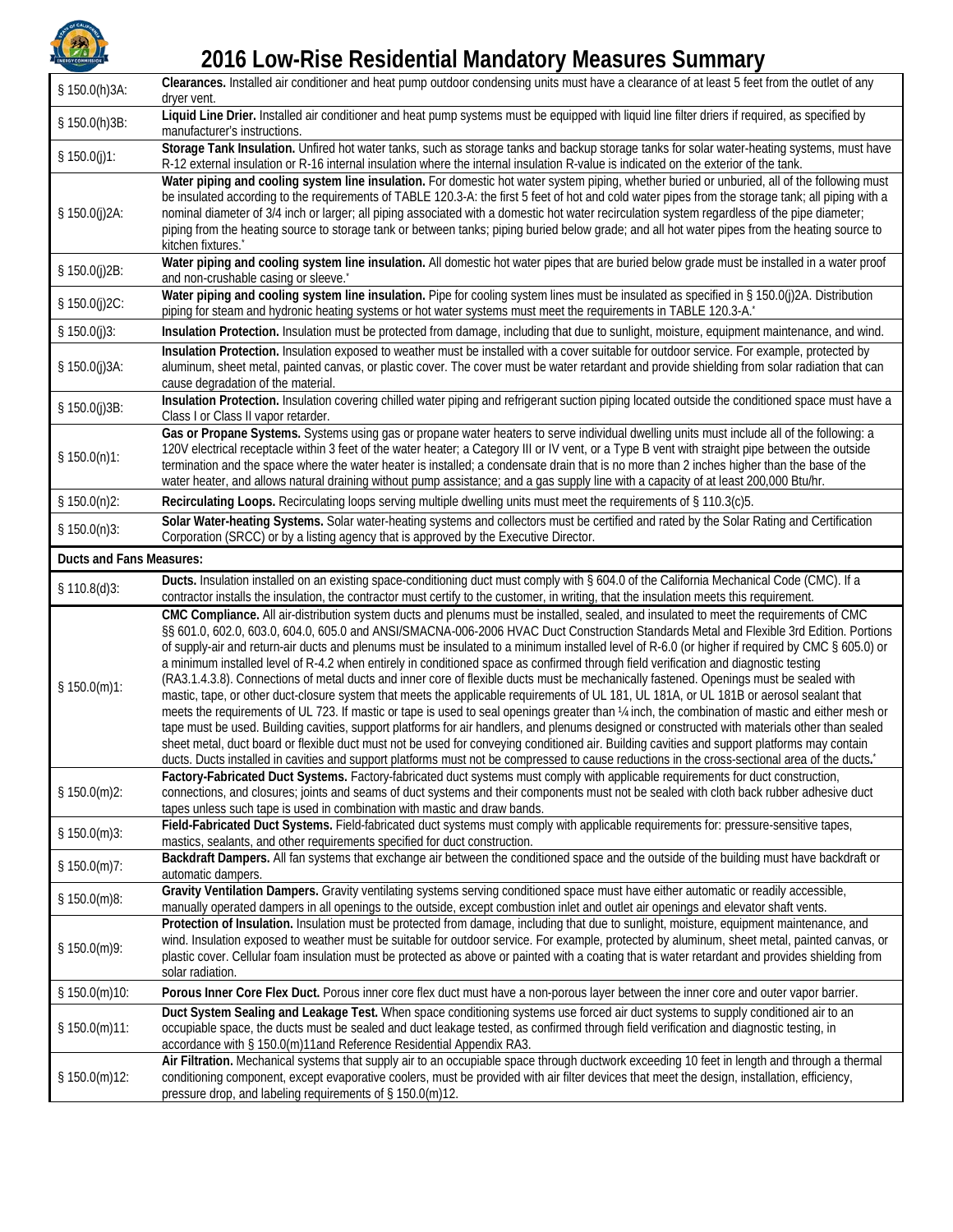

## **2016 Low-Rise Residential Mandatory Measures Summary**

| § 150.0(h)3A:   | Clearances. Installed air conditioner and heat pump outdoor condensing units must have a clearance of at least 5 feet from the outlet of any<br>dryer vent.                                                                                                                                                                                                                                                                                                                                                                                                                                                                                                                                                                                                                                                                                                                                                                                                                                                                                                                                                                                                                                                                                                                                                                                                                                                                                                                |  |  |
|-----------------|----------------------------------------------------------------------------------------------------------------------------------------------------------------------------------------------------------------------------------------------------------------------------------------------------------------------------------------------------------------------------------------------------------------------------------------------------------------------------------------------------------------------------------------------------------------------------------------------------------------------------------------------------------------------------------------------------------------------------------------------------------------------------------------------------------------------------------------------------------------------------------------------------------------------------------------------------------------------------------------------------------------------------------------------------------------------------------------------------------------------------------------------------------------------------------------------------------------------------------------------------------------------------------------------------------------------------------------------------------------------------------------------------------------------------------------------------------------------------|--|--|
| § 150.0(h)3B:   | Liquid Line Drier. Installed air conditioner and heat pump systems must be equipped with liquid line filter driers if required, as specified by<br>manufacturer's instructions.                                                                                                                                                                                                                                                                                                                                                                                                                                                                                                                                                                                                                                                                                                                                                                                                                                                                                                                                                                                                                                                                                                                                                                                                                                                                                            |  |  |
| § $150.0(j)1$ : | Storage Tank Insulation. Unfired hot water tanks, such as storage tanks and backup storage tanks for solar water-heating systems, must have<br>R-12 external insulation or R-16 internal insulation where the internal insulation R-value is indicated on the exterior of the tank.                                                                                                                                                                                                                                                                                                                                                                                                                                                                                                                                                                                                                                                                                                                                                                                                                                                                                                                                                                                                                                                                                                                                                                                        |  |  |
| § 150.0(j)2A:   | Water piping and cooling system line insulation. For domestic hot water system piping, whether buried or unburied, all of the following must<br>be insulated according to the requirements of TABLE 120.3-A: the first 5 feet of hot and cold water pipes from the storage tank; all piping with a<br>nominal diameter of 3/4 inch or larger; all piping associated with a domestic hot water recirculation system regardless of the pipe diameter;<br>piping from the heating source to storage tank or between tanks; piping buried below grade; and all hot water pipes from the heating source to<br>kitchen fixtures.*                                                                                                                                                                                                                                                                                                                                                                                                                                                                                                                                                                                                                                                                                                                                                                                                                                                |  |  |
| § 150.0(j)2B:   | Water piping and cooling system line insulation. All domestic hot water pipes that are buried below grade must be installed in a water proof<br>and non-crushable casing or sleeve.                                                                                                                                                                                                                                                                                                                                                                                                                                                                                                                                                                                                                                                                                                                                                                                                                                                                                                                                                                                                                                                                                                                                                                                                                                                                                        |  |  |
| § 150.0(j)2C:   | Water piping and cooling system line insulation. Pipe for cooling system lines must be insulated as specified in § 150.0(j)2A. Distribution<br>piping for steam and hydronic heating systems or hot water systems must meet the requirements in TABLE 120.3-A.                                                                                                                                                                                                                                                                                                                                                                                                                                                                                                                                                                                                                                                                                                                                                                                                                                                                                                                                                                                                                                                                                                                                                                                                             |  |  |
| § $150.0(j)3$ : | Insulation Protection. Insulation must be protected from damage, including that due to sunlight, moisture, equipment maintenance, and wind.                                                                                                                                                                                                                                                                                                                                                                                                                                                                                                                                                                                                                                                                                                                                                                                                                                                                                                                                                                                                                                                                                                                                                                                                                                                                                                                                |  |  |
| § 150.0(j)3A:   | Insulation Protection. Insulation exposed to weather must be installed with a cover suitable for outdoor service. For example, protected by<br>aluminum, sheet metal, painted canvas, or plastic cover. The cover must be water retardant and provide shielding from solar radiation that can<br>cause degradation of the material.                                                                                                                                                                                                                                                                                                                                                                                                                                                                                                                                                                                                                                                                                                                                                                                                                                                                                                                                                                                                                                                                                                                                        |  |  |
| § 150.0(j)3B:   | Insulation Protection. Insulation covering chilled water piping and refrigerant suction piping located outside the conditioned space must have a<br>Class I or Class II vapor retarder.                                                                                                                                                                                                                                                                                                                                                                                                                                                                                                                                                                                                                                                                                                                                                                                                                                                                                                                                                                                                                                                                                                                                                                                                                                                                                    |  |  |
| \$150.0(n)1:    | Gas or Propane Systems. Systems using gas or propane water heaters to serve individual dwelling units must include all of the following: a<br>120V electrical receptacle within 3 feet of the water heater; a Category III or IV vent, or a Type B vent with straight pipe between the outside<br>termination and the space where the water heater is installed; a condensate drain that is no more than 2 inches higher than the base of the<br>water heater, and allows natural draining without pump assistance; and a gas supply line with a capacity of at least 200,000 Btu/hr.                                                                                                                                                                                                                                                                                                                                                                                                                                                                                                                                                                                                                                                                                                                                                                                                                                                                                      |  |  |
| \$150.0(n)2:    | Recirculating Loops. Recirculating loops serving multiple dwelling units must meet the requirements of § 110.3(c)5.                                                                                                                                                                                                                                                                                                                                                                                                                                                                                                                                                                                                                                                                                                                                                                                                                                                                                                                                                                                                                                                                                                                                                                                                                                                                                                                                                        |  |  |
| \$150.0(n)3:    | Solar Water-heating Systems. Solar water-heating systems and collectors must be certified and rated by the Solar Rating and Certification<br>Corporation (SRCC) or by a listing agency that is approved by the Executive Director.                                                                                                                                                                                                                                                                                                                                                                                                                                                                                                                                                                                                                                                                                                                                                                                                                                                                                                                                                                                                                                                                                                                                                                                                                                         |  |  |
|                 | <b>Ducts and Fans Measures:</b>                                                                                                                                                                                                                                                                                                                                                                                                                                                                                                                                                                                                                                                                                                                                                                                                                                                                                                                                                                                                                                                                                                                                                                                                                                                                                                                                                                                                                                            |  |  |
| \$110.8(d)3:    | Ducts. Insulation installed on an existing space-conditioning duct must comply with § 604.0 of the California Mechanical Code (CMC). If a<br>contractor installs the insulation, the contractor must certify to the customer, in writing, that the insulation meets this requirement.                                                                                                                                                                                                                                                                                                                                                                                                                                                                                                                                                                                                                                                                                                                                                                                                                                                                                                                                                                                                                                                                                                                                                                                      |  |  |
| \$150.0(m)1:    | CMC Compliance. All air-distribution system ducts and plenums must be installed, sealed, and insulated to meet the requirements of CMC<br>§§ 601.0, 602.0, 603.0, 604.0, 605.0 and ANSI/SMACNA-006-2006 HVAC Duct Construction Standards Metal and Flexible 3rd Edition. Portions<br>of supply-air and return-air ducts and plenums must be insulated to a minimum installed level of R-6.0 (or higher if required by CMC § 605.0) or<br>a minimum installed level of R-4.2 when entirely in conditioned space as confirmed through field verification and diagnostic testing<br>(RA3.1.4.3.8). Connections of metal ducts and inner core of flexible ducts must be mechanically fastened. Openings must be sealed with<br>mastic, tape, or other duct-closure system that meets the applicable requirements of UL 181, UL 181A, or UL 181B or aerosol sealant that<br>meets the requirements of UL 723. If mastic or tape is used to seal openings greater than 1/4 inch, the combination of mastic and either mesh or<br>tape must be used. Building cavities, support platforms for air handlers, and plenums designed or constructed with materials other than sealed<br>sheet metal, duct board or flexible duct must not be used for conveying conditioned air. Building cavities and support platforms may contain<br>ducts. Ducts installed in cavities and support platforms must not be compressed to cause reductions in the cross-sectional area of the ducts. |  |  |
| \$150.0(m)2:    | Factory-Fabricated Duct Systems. Factory-fabricated duct systems must comply with applicable requirements for duct construction,<br>connections, and closures; joints and seams of duct systems and their components must not be sealed with cloth back rubber adhesive duct<br>tapes unless such tape is used in combination with mastic and draw bands.                                                                                                                                                                                                                                                                                                                                                                                                                                                                                                                                                                                                                                                                                                                                                                                                                                                                                                                                                                                                                                                                                                                  |  |  |
| \$150.0(m)3:    | Field-Fabricated Duct Systems. Field-fabricated duct systems must comply with applicable requirements for: pressure-sensitive tapes,<br>mastics, sealants, and other requirements specified for duct construction.                                                                                                                                                                                                                                                                                                                                                                                                                                                                                                                                                                                                                                                                                                                                                                                                                                                                                                                                                                                                                                                                                                                                                                                                                                                         |  |  |
| \$150.0(m)7:    | Backdraft Dampers. All fan systems that exchange air between the conditioned space and the outside of the building must have backdraft or<br>automatic dampers.                                                                                                                                                                                                                                                                                                                                                                                                                                                                                                                                                                                                                                                                                                                                                                                                                                                                                                                                                                                                                                                                                                                                                                                                                                                                                                            |  |  |
| \$150.0(m)8:    | Gravity Ventilation Dampers. Gravity ventilating systems serving conditioned space must have either automatic or readily accessible,<br>manually operated dampers in all openings to the outside, except combustion inlet and outlet air openings and elevator shaft vents.                                                                                                                                                                                                                                                                                                                                                                                                                                                                                                                                                                                                                                                                                                                                                                                                                                                                                                                                                                                                                                                                                                                                                                                                |  |  |
| \$150.0(m)9:    | Protection of Insulation. Insulation must be protected from damage, including that due to sunlight, moisture, equipment maintenance, and<br>wind. Insulation exposed to weather must be suitable for outdoor service. For example, protected by aluminum, sheet metal, painted canvas, or<br>plastic cover. Cellular foam insulation must be protected as above or painted with a coating that is water retardant and provides shielding from<br>solar radiation.                                                                                                                                                                                                                                                                                                                                                                                                                                                                                                                                                                                                                                                                                                                                                                                                                                                                                                                                                                                                          |  |  |
| § 150.0(m)10:   | Porous Inner Core Flex Duct. Porous inner core flex duct must have a non-porous layer between the inner core and outer vapor barrier.                                                                                                                                                                                                                                                                                                                                                                                                                                                                                                                                                                                                                                                                                                                                                                                                                                                                                                                                                                                                                                                                                                                                                                                                                                                                                                                                      |  |  |
| \$150.0(m)11:   | Duct System Sealing and Leakage Test. When space conditioning systems use forced air duct systems to supply conditioned air to an<br>occupiable space, the ducts must be sealed and duct leakage tested, as confirmed through field verification and diagnostic testing, in<br>accordance with § 150.0(m)11and Reference Residential Appendix RA3.                                                                                                                                                                                                                                                                                                                                                                                                                                                                                                                                                                                                                                                                                                                                                                                                                                                                                                                                                                                                                                                                                                                         |  |  |
| § 150.0(m)12:   | Air Filtration. Mechanical systems that supply air to an occupiable space through ductwork exceeding 10 feet in length and through a thermal<br>conditioning component, except evaporative coolers, must be provided with air filter devices that meet the design, installation, efficiency,<br>pressure drop, and labeling requirements of § 150.0(m)12.                                                                                                                                                                                                                                                                                                                                                                                                                                                                                                                                                                                                                                                                                                                                                                                                                                                                                                                                                                                                                                                                                                                  |  |  |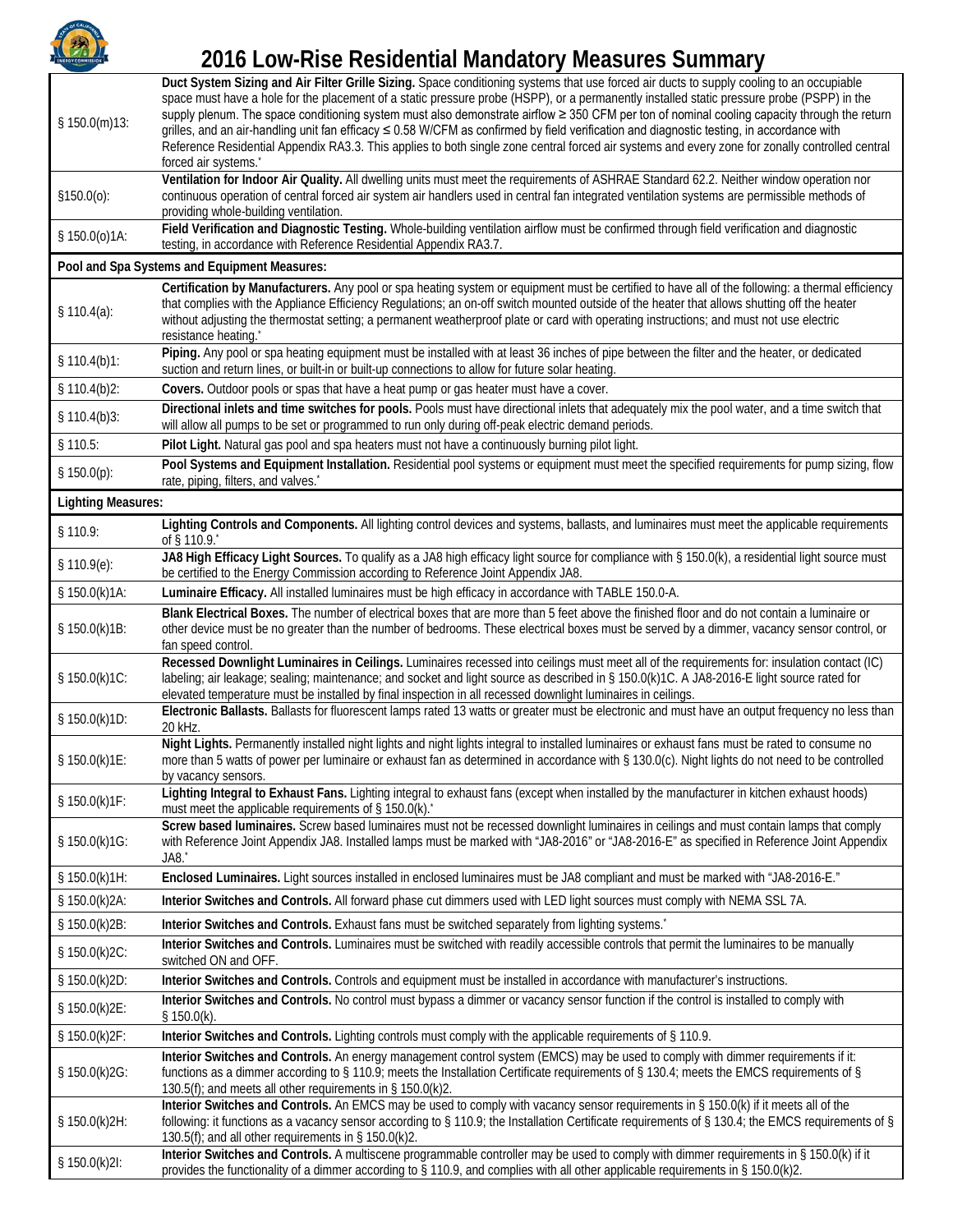

## **2016 Low-Rise Residential Mandatory Measures Summary**

| \$150.0(m)13:             | Duct System Sizing and Air Filter Grille Sizing. Space conditioning systems that use forced air ducts to supply cooling to an occupiable<br>space must have a hole for the placement of a static pressure probe (HSPP), or a permanently installed static pressure probe (PSPP) in the<br>supply plenum. The space conditioning system must also demonstrate airflow ≥ 350 CFM per ton of nominal cooling capacity through the return<br>grilles, and an air-handling unit fan efficacy ≤ 0.58 W/CFM as confirmed by field verification and diagnostic testing, in accordance with<br>Reference Residential Appendix RA3.3. This applies to both single zone central forced air systems and every zone for zonally controlled central<br>forced air systems. |  |
|---------------------------|--------------------------------------------------------------------------------------------------------------------------------------------------------------------------------------------------------------------------------------------------------------------------------------------------------------------------------------------------------------------------------------------------------------------------------------------------------------------------------------------------------------------------------------------------------------------------------------------------------------------------------------------------------------------------------------------------------------------------------------------------------------|--|
| \$150.0(0):               | Ventilation for Indoor Air Quality. All dwelling units must meet the requirements of ASHRAE Standard 62.2. Neither window operation nor<br>continuous operation of central forced air system air handlers used in central fan integrated ventilation systems are permissible methods of<br>providing whole-building ventilation.                                                                                                                                                                                                                                                                                                                                                                                                                             |  |
| \$150.0(0)1A:             | Field Verification and Diagnostic Testing. Whole-building ventilation airflow must be confirmed through field verification and diagnostic<br>testing, in accordance with Reference Residential Appendix RA3.7.                                                                                                                                                                                                                                                                                                                                                                                                                                                                                                                                               |  |
|                           | Pool and Spa Systems and Equipment Measures:                                                                                                                                                                                                                                                                                                                                                                                                                                                                                                                                                                                                                                                                                                                 |  |
| \$110.4(a):               | Certification by Manufacturers. Any pool or spa heating system or equipment must be certified to have all of the following: a thermal efficiency<br>that complies with the Appliance Efficiency Regulations; an on-off switch mounted outside of the heater that allows shutting off the heater<br>without adjusting the thermostat setting; a permanent weatherproof plate or card with operating instructions; and must not use electric<br>resistance heating.                                                                                                                                                                                                                                                                                            |  |
| \$110.4(b)1:              | Piping. Any pool or spa heating equipment must be installed with at least 36 inches of pipe between the filter and the heater, or dedicated<br>suction and return lines, or built-in or built-up connections to allow for future solar heating.                                                                                                                                                                                                                                                                                                                                                                                                                                                                                                              |  |
| \$110.4(b)2:              | Covers. Outdoor pools or spas that have a heat pump or gas heater must have a cover.                                                                                                                                                                                                                                                                                                                                                                                                                                                                                                                                                                                                                                                                         |  |
| \$110.4(b)3:              | Directional inlets and time switches for pools. Pools must have directional inlets that adequately mix the pool water, and a time switch that<br>will allow all pumps to be set or programmed to run only during off-peak electric demand periods.                                                                                                                                                                                                                                                                                                                                                                                                                                                                                                           |  |
| § 110.5:                  | Pilot Light. Natural gas pool and spa heaters must not have a continuously burning pilot light.                                                                                                                                                                                                                                                                                                                                                                                                                                                                                                                                                                                                                                                              |  |
| \$150.0(p):               | Pool Systems and Equipment Installation. Residential pool systems or equipment must meet the specified requirements for pump sizing, flow<br>rate, piping, filters, and valves.                                                                                                                                                                                                                                                                                                                                                                                                                                                                                                                                                                              |  |
| <b>Lighting Measures:</b> |                                                                                                                                                                                                                                                                                                                                                                                                                                                                                                                                                                                                                                                                                                                                                              |  |
| § 110.9:                  | Lighting Controls and Components. All lighting control devices and systems, ballasts, and luminaires must meet the applicable requirements<br>of § 110.9.                                                                                                                                                                                                                                                                                                                                                                                                                                                                                                                                                                                                    |  |
| \$110.9(e):               | JA8 High Efficacy Light Sources. To qualify as a JA8 high efficacy light source for compliance with § 150.0(k), a residential light source must<br>be certified to the Energy Commission according to Reference Joint Appendix JA8.                                                                                                                                                                                                                                                                                                                                                                                                                                                                                                                          |  |
| § 150.0(k)1A:             | Luminaire Efficacy. All installed luminaires must be high efficacy in accordance with TABLE 150.0-A.                                                                                                                                                                                                                                                                                                                                                                                                                                                                                                                                                                                                                                                         |  |
| § 150.0(k)1B:             | Blank Electrical Boxes. The number of electrical boxes that are more than 5 feet above the finished floor and do not contain a luminaire or<br>other device must be no greater than the number of bedrooms. These electrical boxes must be served by a dimmer, vacancy sensor control, or<br>fan speed control.                                                                                                                                                                                                                                                                                                                                                                                                                                              |  |
| § 150.0(k)1C:             | Recessed Downlight Luminaires in Ceilings. Luminaires recessed into ceilings must meet all of the requirements for: insulation contact (IC)<br>labeling; air leakage; sealing; maintenance; and socket and light source as described in § 150.0(k)1C. A JA8-2016-E light source rated for<br>elevated temperature must be installed by final inspection in all recessed downlight luminaires in ceilings.                                                                                                                                                                                                                                                                                                                                                    |  |
| § 150.0(k)1D:             | Electronic Ballasts. Ballasts for fluorescent lamps rated 13 watts or greater must be electronic and must have an output frequency no less than<br>20 kHz.                                                                                                                                                                                                                                                                                                                                                                                                                                                                                                                                                                                                   |  |
| § 150.0(k)1E:             | Night Lights. Permanently installed night lights and night lights integral to installed luminaires or exhaust fans must be rated to consume no<br>more than 5 watts of power per luminaire or exhaust fan as determined in accordance with § 130.0(c). Night lights do not need to be controlled<br>by vacancy sensors.                                                                                                                                                                                                                                                                                                                                                                                                                                      |  |
| § 150.0(k)1F:             | Lighting Integral to Exhaust Fans. Lighting integral to exhaust fans (except when installed by the manufacturer in kitchen exhaust hoods)<br>must meet the applicable requirements of § 150.0(k).                                                                                                                                                                                                                                                                                                                                                                                                                                                                                                                                                            |  |
| § 150.0(k)1G:             | Screw based luminaires. Screw based luminaires must not be recessed downlight luminaires in ceilings and must contain lamps that comply<br>with Reference Joint Appendix JA8. Installed lamps must be marked with "JA8-2016" or "JA8-2016-E" as specified in Reference Joint Appendix<br>JA8.                                                                                                                                                                                                                                                                                                                                                                                                                                                                |  |
| § 150.0(k)1H:             | Enclosed Luminaires. Light sources installed in enclosed luminaires must be JA8 compliant and must be marked with "JA8-2016-E."                                                                                                                                                                                                                                                                                                                                                                                                                                                                                                                                                                                                                              |  |
| § 150.0(k)2A:             | Interior Switches and Controls. All forward phase cut dimmers used with LED light sources must comply with NEMA SSL 7A.                                                                                                                                                                                                                                                                                                                                                                                                                                                                                                                                                                                                                                      |  |
| § 150.0(k)2B:             | Interior Switches and Controls. Exhaust fans must be switched separately from lighting systems. <sup>*</sup>                                                                                                                                                                                                                                                                                                                                                                                                                                                                                                                                                                                                                                                 |  |
| § 150.0(k)2C:             | Interior Switches and Controls. Luminaires must be switched with readily accessible controls that permit the luminaires to be manually<br>switched ON and OFF.                                                                                                                                                                                                                                                                                                                                                                                                                                                                                                                                                                                               |  |
| § 150.0(k)2D:             | Interior Switches and Controls. Controls and equipment must be installed in accordance with manufacturer's instructions.                                                                                                                                                                                                                                                                                                                                                                                                                                                                                                                                                                                                                                     |  |
| § 150.0(k)2E:             | Interior Switches and Controls. No control must bypass a dimmer or vacancy sensor function if the control is installed to comply with<br>\$150.0(k).                                                                                                                                                                                                                                                                                                                                                                                                                                                                                                                                                                                                         |  |
| § 150.0(k)2F:             | Interior Switches and Controls. Lighting controls must comply with the applicable requirements of § 110.9.                                                                                                                                                                                                                                                                                                                                                                                                                                                                                                                                                                                                                                                   |  |
| § 150.0(k)2G:             | Interior Switches and Controls. An energy management control system (EMCS) may be used to comply with dimmer requirements if it:<br>functions as a dimmer according to § 110.9; meets the Installation Certificate requirements of § 130.4; meets the EMCS requirements of §<br>130.5(f); and meets all other requirements in § 150.0(k)2.                                                                                                                                                                                                                                                                                                                                                                                                                   |  |
| § 150.0(k)2H:             | Interior Switches and Controls. An EMCS may be used to comply with vacancy sensor requirements in § 150.0(k) if it meets all of the<br>following: it functions as a vacancy sensor according to § 110.9; the Installation Certificate requirements of § 130.4; the EMCS requirements of §<br>130.5(f); and all other requirements in § 150.0(k)2.                                                                                                                                                                                                                                                                                                                                                                                                            |  |
| § 150.0(k)2I:             | Interior Switches and Controls. A multiscene programmable controller may be used to comply with dimmer requirements in § 150.0(k) if it<br>provides the functionality of a dimmer according to § 110.9, and complies with all other applicable requirements in § 150.0(k)2.                                                                                                                                                                                                                                                                                                                                                                                                                                                                                  |  |